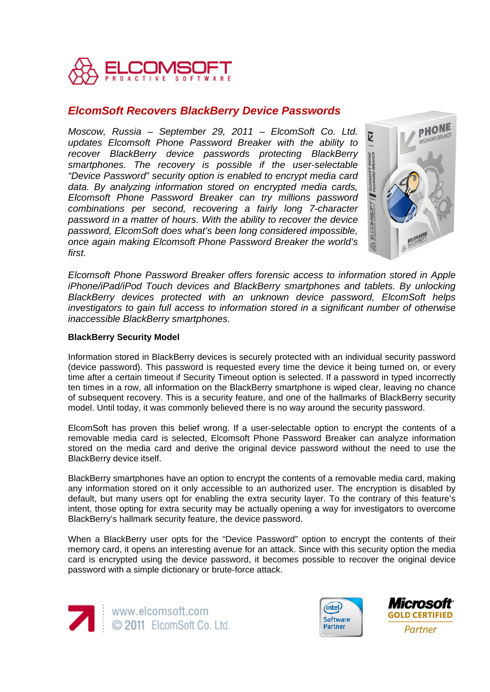

# *ElcomSoft Recovers BlackBerry Device Passwords*

*Moscow, Russia – September 29, 2011 – ElcomSoft Co. Ltd. updates Elcomsoft Phone Password Breaker with the ability to recover BlackBerry device passwords protecting BlackBerry smartphones. The recovery is possible if the user-selectable "Device Password" security option is enabled to encrypt media card data. By analyzing information stored on encrypted media cards, Elcomsoft Phone Password Breaker can try millions password combinations per second, recovering a fairly long 7-character password in a matter of hours. With the ability to recover the device password, ElcomSoft does what's been long considered impossible, once again making Elcomsoft Phone Password Breaker the world's first.* 



*Elcomsoft Phone Password Breaker offers forensic access to information stored in Apple iPhone/iPad/iPod Touch devices and BlackBerry smartphones and tablets. By unlocking BlackBerry devices protected with an unknown device password, ElcomSoft helps investigators to gain full access to information stored in a significant number of otherwise inaccessible BlackBerry smartphones.*

# **BlackBerry Security Model**

Information stored in BlackBerry devices is securely protected with an individual security password (device password). This password is requested every time the device it being turned on, or every time after a certain timeout if Security Timeout option is selected. If a password in typed incorrectly ten times in a row, all information on the BlackBerry smartphone is wiped clear, leaving no chance of subsequent recovery. This is a security feature, and one of the hallmarks of BlackBerry security model. Until today, it was commonly believed there is no way around the security password.

ElcomSoft has proven this belief wrong. If a user-selectable option to encrypt the contents of a removable media card is selected, Elcomsoft Phone Password Breaker can analyze information stored on the media card and derive the original device password without the need to use the BlackBerry device itself.

BlackBerry smartphones have an option to encrypt the contents of a removable media card, making any information stored on it only accessible to an authorized user. The encryption is disabled by default, but many users opt for enabling the extra security layer. To the contrary of this feature's intent, those opting for extra security may be actually opening a way for investigators to overcome BlackBerry's hallmark security feature, the device password.

When a BlackBerry user opts for the "Device Password" option to encrypt the contents of their memory card, it opens an interesting avenue for an attack. Since with this security option the media card is encrypted using the device password, it becomes possible to recover the original device password with a simple dictionary or brute-force attack.